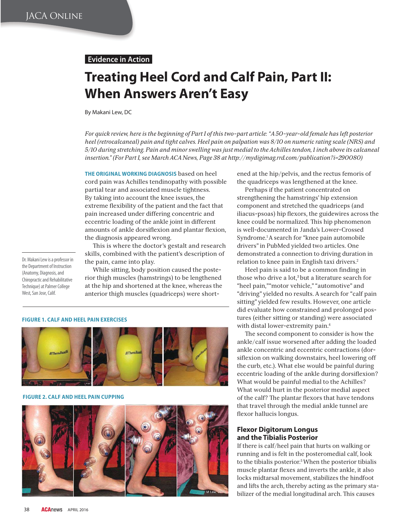# **Evidence in Action**

# **Treating Heel Cord and Calf Pain, Part II: When Answers Aren't Easy**

By Makani Lew, DC

*For quick review, here is the beginning of Part I of this two-part article: "A 50-year-old female has left posterior heel (retrocalcaneal) pain and tight calves. Heel pain on palpation was 8/10 on numeric rating scale (NRS) and 5/10 during stretching. Pain and minor swelling was just medial to the Achilles tendon, 1 inch above its calcaneal insertion." (For Part I, see March ACA News, Page 38 at http://mydigimag.rrd.com/publication?i=290080)*

**THE ORIGINAL WORKING DIAGNOSIS** based on heel cord pain was Achilles tendinopathy with possible partial tear and associated muscle tightness. By taking into account the knee issues, the extreme flexibility of the patient and the fact that pain increased under differing concentric and eccentric loading of the ankle joint in different amounts of ankle dorsiflexion and plantar flexion, the diagnosis appeared wrong.

This is where the doctor's gestalt and research skills, combined with the patient's description of the pain, came into play.

While sitting, body position caused the posterior thigh muscles (hamstrings) to be lengthened at the hip and shortened at the knee, whereas the anterior thigh muscles (quadriceps) were short-

### **FIGURE 1. CALF AND HEEL PAIN EXERCISES**

Dr. Makani Lew is a professor in the Department of Instruction (Anatomy, Diagnosis, and Chiropractic and Rehabilitative Technique) at Palmer College West, San Jose, Calif.



**FIGURE 2. CALF AND HEEL PAIN CUPPING**



ened at the hip/pelvis, and the rectus femoris of the quadriceps was lengthened at the knee.

Perhaps if the patient concentrated on strengthening the hamstrings' hip extension component and stretched the quadriceps (and iliacus-psoas) hip flexors, the guidewires across the knee could be normalized. This hip phenomenon is well-documented in Janda's Lower-Crossed Syndrome.1 A search for "knee pain automobile drivers" in PubMed yielded two articles. One demonstrated a connection to driving duration in relation to knee pain in English taxi drivers.<sup>2</sup>

Heel pain is said to be a common finding in those who drive a lot,<sup>3</sup> but a literature search for "heel pain,""motor vehicle," "automotive" and "driving" yielded no results. A search for "calf pain sitting" yielded few results. However, one article did evaluate how constrained and prolonged postures (either sitting or standing) were associated with distal lower-extremity pain.4

The second component to consider is how the ankle/calf issue worsened after adding the loaded ankle concentric and eccentric contractions (dorsiflexion on walking downstairs, heel lowering off the curb, etc.). What else would be painful during eccentric loading of the ankle during dorsiflexion? What would be painful medial to the Achilles? What would hurt in the posterior medial aspect of the calf? The plantar flexors that have tendons that travel through the medial ankle tunnel are flexor hallucis longus.

## **Flexor Digitorum Longus and the Tibialis Posterior**

If there is calf/heel pain that hurts on walking or running and is felt in the posteromedial calf, look to the tibialis posterior.<sup>5</sup> When the posterior tibialis muscle plantar flexes and inverts the ankle, it also locks midtarsal movement, stabilizes the hindfoot and lifts the arch, thereby acting as the primary stabilizer of the medial longitudinal arch. This causes